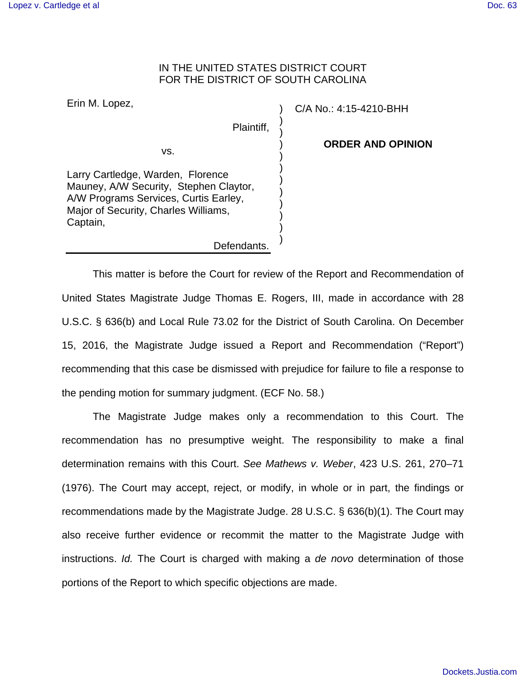## IN THE UNITED STATES DISTRICT COURT FOR THE DISTRICT OF SOUTH CAROLINA

| Erin M. Lopez,                                                                                                                                                           | C/A No |
|--------------------------------------------------------------------------------------------------------------------------------------------------------------------------|--------|
| Plaintiff,                                                                                                                                                               |        |
| VS.                                                                                                                                                                      |        |
| Larry Cartledge, Warden, Florence<br>Mauney, A/W Security, Stephen Claytor,<br>A/W Programs Services, Curtis Earley,<br>Major of Security, Charles Williams,<br>Captain, |        |
| Defendants                                                                                                                                                               |        |

p.: 4:15-4210-BHH

**ORDER AND OPINION**

 This matter is before the Court for review of the Report and Recommendation of United States Magistrate Judge Thomas E. Rogers, III, made in accordance with 28 U.S.C. § 636(b) and Local Rule 73.02 for the District of South Carolina. On December 15, 2016, the Magistrate Judge issued a Report and Recommendation ("Report") recommending that this case be dismissed with prejudice for failure to file a response to the pending motion for summary judgment. (ECF No. 58.)

 The Magistrate Judge makes only a recommendation to this Court. The recommendation has no presumptive weight. The responsibility to make a final determination remains with this Court. See Mathews v. Weber, 423 U.S. 261, 270–71 (1976). The Court may accept, reject, or modify, in whole or in part, the findings or recommendations made by the Magistrate Judge. 28 U.S.C. § 636(b)(1). The Court may also receive further evidence or recommit the matter to the Magistrate Judge with instructions. Id. The Court is charged with making a de novo determination of those portions of the Report to which specific objections are made.